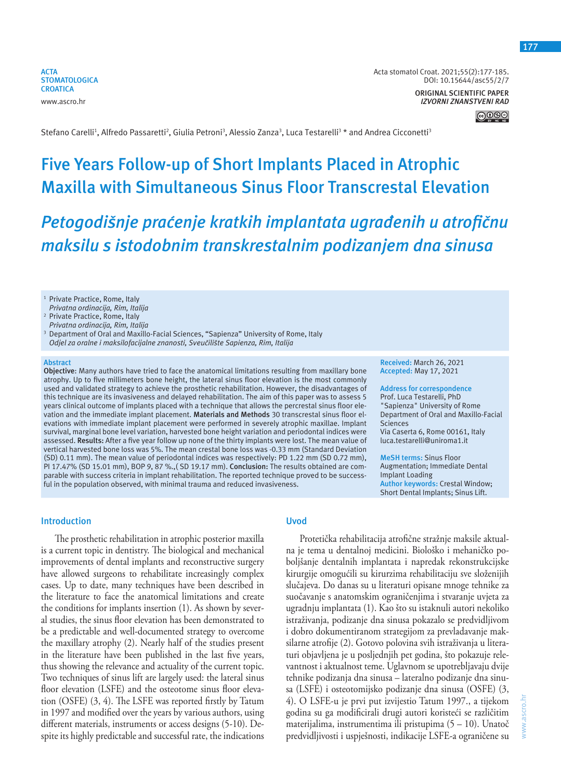**ACTA STOMATOLOGICA CROATICA** www.ascro.hr

Acta stomatol Croat. 2021;55(2):177-185. DOI: 10.15644/asc55/2/7

**ORIGINAL SCIENTIFIC PAPER** *IZVORNI ZNANSTVENI RAD*

**177**

Stefano Carelli<sup>1</sup>, Alfredo Passaretti<sup>2</sup>, Giulia Petroni<sup>3</sup>, Alessio Zanza<sup>3</sup>, Luca Testarelli<sup>3</sup> \* and Andrea Cicconetti<sup>3</sup>

# **Five Years Follow-up of Short Implants Placed in Atrophic Maxilla with Simultaneous Sinus Floor Transcrestal Elevation**

*Petogodišnje praćenje kratkih implantata ugrađenih u atrofičnu maksilu s istodobnim transkrestalnim podizanjem dna sinusa* 

<sup>1</sup> Private Practice, Rome, Italy *Privatna ordinacija, Rim, Italija*

<sup>2</sup> Private Practice, Rome, Italy

*Privatna ordinacija, Rim, Italija*

3 Department of Oral and Maxillo-Facial Sciences, "Sapienza" University of Rome, Italy  *Odjel za oralne i maksilofacijalne znanosti, Sveučilište Sapienza, Rim, Italija*

#### **Abstract**

**Objective**: Many authors have tried to face the anatomical limitations resulting from maxillary bone atrophy. Up to five millimeters bone height, the lateral sinus floor elevation is the most commonly used and validated strategy to achieve the prosthetic rehabilitation. However, the disadvantages of this technique are its invasiveness and delayed rehabilitation. The aim of this paper was to assess 5 years clinical outcome of implants placed with a technique that allows the percrestal sinus floor elevation and the immediate implant placement. **Materials and Methods** 30 transcrestal sinus floor elevations with immediate implant placement were performed in severely atrophic maxillae. Implant survival, marginal bone level variation, harvested bone height variation and periodontal indices were assessed. **Results:** After a five year follow up none of the thirty implants were lost. The mean value of vertical harvested bone loss was 5%. The mean crestal bone loss was -0.33 mm (Standard Deviation (SD) 0.11 mm). The mean value of periodontal indices was respectively: PD 1.22 mm (SD 0.72 mm), PI 17.47% (SD 15.01 mm), BOP 9, 87 %.,( SD 19.17 mm). **Conclusion:** The results obtained are comparable with success criteria in implant rehabilitation. The reported technique proved to be successful in the population observed, with minimal trauma and reduced invasiveness.

# **Introduction**

The prosthetic rehabilitation in atrophic posterior maxilla is a current topic in dentistry. The biological and mechanical improvements of dental implants and reconstructive surgery have allowed surgeons to rehabilitate increasingly complex cases. Up to date, many techniques have been described in the literature to face the anatomical limitations and create the conditions for implants insertion (1). As shown by several studies, the sinus floor elevation has been demonstrated to be a predictable and well-documented strategy to overcome the maxillary atrophy (2). Nearly half of the studies present in the literature have been published in the last five years, thus showing the relevance and actuality of the current topic. Two techniques of sinus lift are largely used: the lateral sinus floor elevation (LSFE) and the osteotome sinus floor elevation (OSFE) (3, 4). The LSFE was reported firstly by Tatum in 1997 and modified over the years by various authors, using different materials, instruments or access designs (5-10). Despite its highly predictable and successful rate, the indications

# **Uvod**

Protetička rehabilitacija atrofične stražnje maksile aktualna je tema u dentalnoj medicini. Biološko i mehaničko poboljšanje dentalnih implantata i napredak rekonstrukcijske kirurgije omogućili su kirurzima rehabilitaciju sve složenijih slučajeva. Do danas su u literaturi opisane mnoge tehnike za suočavanje s anatomskim ograničenjima i stvaranje uvjeta za ugradnju implantata (1). Kao što su istaknuli autori nekoliko istraživanja, podizanje dna sinusa pokazalo se predvidljivom i dobro dokumentiranom strategijom za prevladavanje maksilarne atrofije (2). Gotovo polovina svih istraživanja u literaturi objavljena je u posljednjih pet godina, što pokazuje relevantnost i aktualnost teme. Uglavnom se upotrebljavaju dvije tehnike podizanja dna sinusa – lateralno podizanje dna sinusa (LSFE) i osteotomijsko podizanje dna sinusa (OSFE) (3, 4). O LSFE-u je prvi put izvijestio Tatum 1997., a tijekom godina su ga modificirali drugi autori koristeći se različitim materijalima, instrumentima ili pristupima (5 – 10). Unatoč predvidljivosti i uspješnosti, indikacije LSFE-a ograničene su

**Received:** March 26, 2021 **Accepted:** May 17, 2021

**Address for correspondence** Prof. Luca Testarelli, PhD "Sapienza" University of Rome Department of Oral and Maxillo-Facial Sciences Via Caserta 6, Rome 00161, Italy luca.testarelli@uniroma1.it

**MeSH terms:** Sinus Floor Augmentation; Immediate Dental Implant Loading **Author keywords:** Crestal Window; Short Dental Implants; Sinus Lift.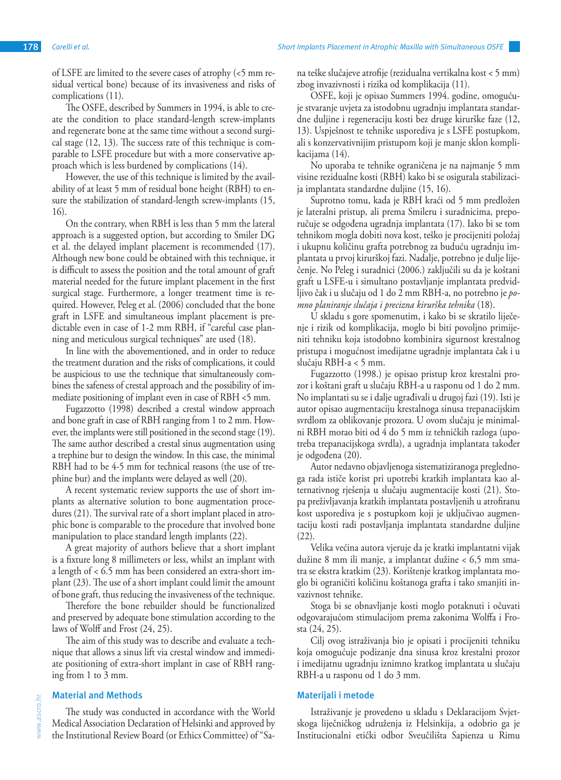of LSFE are limited to the severe cases of atrophy (<5 mm residual vertical bone) because of its invasiveness and risks of complications (11).

The OSFE, described by Summers in 1994, is able to create the condition to place standard-length screw-implants and regenerate bone at the same time without a second surgical stage (12, 13). The success rate of this technique is comparable to LSFE procedure but with a more conservative approach which is less burdened by complications (14).

However, the use of this technique is limited by the availability of at least 5 mm of residual bone height (RBH) to ensure the stabilization of standard-length screw-implants (15, 16).

On the contrary, when RBH is less than 5 mm the lateral approach is a suggested option, but according to Smiler DG et al. the delayed implant placement is recommended (17). Although new bone could be obtained with this technique, it is difficult to assess the position and the total amount of graft material needed for the future implant placement in the first surgical stage. Furthermore, a longer treatment time is required. However, Peleg et al. (2006) concluded that the bone graft in LSFE and simultaneous implant placement is predictable even in case of 1-2 mm RBH, if "careful case planning and meticulous surgical techniques" are used (18).

In line with the abovementioned, and in order to reduce the treatment duration and the risks of complications, it could be auspicious to use the technique that simultaneously combines the safeness of crestal approach and the possibility of immediate positioning of implant even in case of RBH <5 mm.

Fugazzotto (1998) described a crestal window approach and bone graft in case of RBH ranging from 1 to 2 mm. However, the implants were still positioned in the second stage (19). The same author described a crestal sinus augmentation using a trephine bur to design the window. In this case, the minimal RBH had to be 4-5 mm for technical reasons (the use of trephine bur) and the implants were delayed as well (20).

A recent systematic review supports the use of short implants as alternative solution to bone augmentation procedures (21). The survival rate of a short implant placed in atrophic bone is comparable to the procedure that involved bone manipulation to place standard length implants (22).

A great majority of authors believe that a short implant is a fixture long 8 millimeters or less, whilst an implant with a length of < 6.5 mm has been considered an extra-short implant (23). The use of a short implant could limit the amount of bone graft, thus reducing the invasiveness of the technique.

Therefore the bone rebuilder should be functionalized and preserved by adequate bone stimulation according to the laws of Wolff and Frost (24, 25).

The aim of this study was to describe and evaluate a technique that allows a sinus lift via crestal window and immediate positioning of extra-short implant in case of RBH ranging from 1 to 3 mm.

## **Material and Methods**

The study was conducted in accordance with the World Medical Association Declaration of Helsinki and approved by the Institutional Review Board (or Ethics Committee) of "Sa-

na teške slučajeve atrofije (rezidualna vertikalna kost < 5 mm) zbog invazivnosti i rizika od komplikacija (11).

OSFE, koji je opisao Summers 1994. godine, omogućuje stvaranje uvjeta za istodobnu ugradnju implantata standardne duljine i regeneraciju kosti bez druge kirurške faze (12, 13). Uspješnost te tehnike usporediva je s LSFE postupkom, ali s konzervativnijim pristupom koji je manje sklon komplikacijama (14).

No uporaba te tehnike ograničena je na najmanje 5 mm visine rezidualne kosti (RBH) kako bi se osigurala stabilizacija implantata standardne duljine (15, 16).

Suprotno tomu, kada je RBH kraći od 5 mm predložen je lateralni pristup, ali prema Smileru i suradnicima, preporučuje se odgođena ugradnja implantata (17). Iako bi se tom tehnikom mogla dobiti nova kost, teško je procijeniti položaj i ukupnu količinu grafta potrebnog za buduću ugradnju implantata u prvoj kirurškoj fazi. Nadalje, potrebno je dulje liječenje. No Peleg i suradnici (2006.) zaključili su da je koštani graft u LSFE-u i simultano postavljanje implantata predvidljivo čak i u slučaju od 1 do 2 mm RBH-a, no potrebno je *pomno planiranje slučaja i precizna kirurška tehnika* (18).

U skladu s gore spomenutim, i kako bi se skratilo liječenje i rizik od komplikacija, moglo bi biti povoljno primijeniti tehniku koja istodobno kombinira sigurnost krestalnog pristupa i mogućnost imedijatne ugradnje implantata čak i u slučaju RBH-a < 5 mm.

Fugazzotto (1998.) je opisao pristup kroz krestalni prozor i koštani graft u slučaju RBH-a u rasponu od 1 do 2 mm. No implantati su se i dalje ugrađivali u drugoj fazi (19). Isti je autor opisao augmentaciju krestalnoga sinusa trepanacijskim svrdlom za oblikovanje prozora. U ovom slučaju je minimalni RBH morao biti od 4 do 5 mm iz tehničkih razloga (upotreba trepanacijskoga svrdla), a ugradnja implantata također je odgođena (20).

Autor nedavno objavljenoga sistematiziranoga preglednoga rada ističe korist pri upotrebi kratkih implantata kao alternativnog rješenja u slučaju augmentacije kosti (21). Stopa preživljavanja kratkih implantata postavljenih u atrofiranu kost usporediva je s postupkom koji je uključivao augmentaciju kosti radi postavljanja implantata standardne duljine (22).

Velika većina autora vjeruje da je kratki implantatni vijak dužine 8 mm ili manje, a implantat dužine < 6,5 mm smatra se ekstra kratkim (23). Korištenje kratkog implantata moglo bi ograničiti količinu koštanoga grafta i tako smanjiti invazivnost tehnike.

Stoga bi se obnavljanje kosti moglo potaknuti i očuvati odgovarajućom stimulacijom prema zakonima Wolffa i Frosta (24, 25).

Cilj ovog istraživanja bio je opisati i procijeniti tehniku koja omogućuje podizanje dna sinusa kroz krestalni prozor i imedijatnu ugradnju iznimno kratkog implantata u slučaju RBH-a u rasponu od 1 do 3 mm.

## **Materijali i metode**

Istraživanje je provedeno u skladu s Deklaracijom Svjetskoga liječničkog udruženja iz Helsinkija, a odobrio ga je Institucionalni etički odbor Sveučilišta Sapienza u Rimu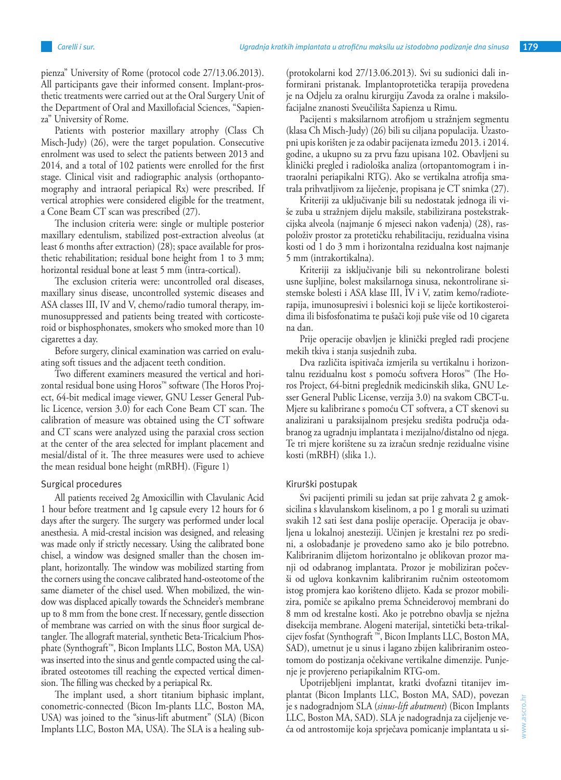pienza" University of Rome (protocol code 27/13.06.2013). All participants gave their informed consent. Implant-prosthetic treatments were carried out at the Oral Surgery Unit of the Department of Oral and Maxillofacial Sciences, "Sapienza" University of Rome.

Patients with posterior maxillary atrophy (Class Ch Misch-Judy) (26), were the target population. Consecutive enrolment was used to select the patients between 2013 and 2014, and a total of 102 patients were enrolled for the first stage. Clinical visit and radiographic analysis (orthopantomography and intraoral periapical Rx) were prescribed. If vertical atrophies were considered eligible for the treatment, a Cone Beam CT scan was prescribed (27).

The inclusion criteria were: single or multiple posterior maxillary edentulism, stabilized post-extraction alveolus (at least 6 months after extraction) (28); space available for prosthetic rehabilitation; residual bone height from 1 to 3 mm; horizontal residual bone at least 5 mm (intra-cortical).

The exclusion criteria were: uncontrolled oral diseases, maxillary sinus disease, uncontrolled systemic diseases and ASA classes III, IV and V, chemo/radio tumoral therapy, immunosuppressed and patients being treated with corticosteroid or bisphosphonates, smokers who smoked more than 10 cigarettes a day.

Before surgery, clinical examination was carried on evaluating soft tissues and the adjacent teeth condition.

Two different examiners measured the vertical and horizontal residual bone using Horos™ software (The Horos Project, 64-bit medical image viewer, GNU Lesser General Public Licence, version 3.0) for each Cone Beam CT scan. The calibration of measure was obtained using the CT software and CT scans were analyzed using the paraxial cross section at the center of the area selected for implant placement and mesial/distal of it. The three measures were used to achieve the mean residual bone height (mRBH). (Figure 1)

# Surgical procedures

All patients received 2g Amoxicillin with Clavulanic Acid 1 hour before treatment and 1g capsule every 12 hours for 6 days after the surgery. The surgery was performed under local anesthesia. A mid-crestal incision was designed, and releasing was made only if strictly necessary. Using the calibrated bone chisel, a window was designed smaller than the chosen implant, horizontally. The window was mobilized starting from the corners using the concave calibrated hand-osteotome of the same diameter of the chisel used. When mobilized, the window was displaced apically towards the Schneider's membrane up to 8 mm from the bone crest. If necessary, gentle dissection of membrane was carried on with the sinus floor surgical detangler. The allograft material, synthetic Beta-Tricalcium Phosphate (Synthograft™, Bicon Implants LLC, Boston MA, USA) was inserted into the sinus and gentle compacted using the calibrated osteotomes till reaching the expected vertical dimension. The filling was checked by a periapical Rx.

The implant used, a short titanium biphasic implant, conometric-connected (Bicon Im-plants LLC, Boston MA, USA) was joined to the "sinus-lift abutment" (SLA) (Bicon Implants LLC, Boston MA, USA). The SLA is a healing sub(protokolarni kod 27/13.06.2013). Svi su sudionici dali informirani pristanak. Implantoprotetička terapija provedena je na Odjelu za oralnu kirurgiju Zavoda za oralne i maksilofacijalne znanosti Sveučilišta Sapienza u Rimu.

Pacijenti s maksilarnom atrofijom u stražnjem segmentu (klasa Ch Misch-Judy) (26) bili su ciljana populacija. Uzastopni upis korišten je za odabir pacijenata između 2013. i 2014. godine, a ukupno su za prvu fazu upisana 102. Obavljeni su klinički pregled i radiološka analiza (ortopantomogram i intraoralni periapikalni RTG). Ako se vertikalna atrofija smatrala prihvatljivom za liječenje, propisana je CT snimka (27).

Kriteriji za uključivanje bili su nedostatak jednoga ili više zuba u stražnjem dijelu maksile, stabilizirana postekstrakcijska alveola (najmanje 6 mjeseci nakon vađenja) (28), raspoloživ prostor za protetičku rehabilitaciju, rezidualna visina kosti od 1 do 3 mm i horizontalna rezidualna kost najmanje 5 mm (intrakortikalna).

Kriteriji za isključivanje bili su nekontrolirane bolesti usne šupljine, bolest maksilarnoga sinusa, nekontrolirane sistemske bolesti i ASA klase III, IV i V, zatim kemo/radioterapija, imunosupresivi i bolesnici koji se liječe kortikosteroidima ili bisfosfonatima te pušači koji puše više od 10 cigareta na dan.

Prije operacije obavljen je klinički pregled radi procjene mekih tkiva i stanja susjednih zuba.

Dva različita ispitivača izmjerila su vertikalnu i horizontalnu rezidualnu kost s pomoću softvera Horos™ (The Horos Project, 64-bitni preglednik medicinskih slika, GNU Lesser General Public License, verzija 3.0) na svakom CBCT-u. Mjere su kalibrirane s pomoću CT softvera, a CT skenovi su analizirani u paraksijalnom presjeku središta područja odabranog za ugradnju implantata i mezijalno/distalno od njega. Te tri mjere korištene su za izračun srednje rezidualne visine kosti (mRBH) (slika 1.).

#### Kirurški postupak

Svi pacijenti primili su jedan sat prije zahvata 2 g amoksicilina s klavulanskom kiselinom, a po 1 g morali su uzimati svakih 12 sati šest dana poslije operacije. Operacija je obavljena u lokalnoj anesteziji. Učinjen je krestalni rez po sredini, a oslobađanje je provedeno samo ako je bilo potrebno. Kalibriranim dlijetom horizontalno je oblikovan prozor manji od odabranog implantata. Prozor je mobiliziran počevši od uglova konkavnim kalibriranim ručnim osteotomom istog promjera kao korišteno dlijeto. Kada se prozor mobilizira, pomiče se apikalno prema Schneiderovoj membrani do 8 mm od krestalne kosti. Ako je potrebno obavlja se nježna disekcija membrane. Alogeni materijal, sintetički beta-trikalcijev fosfat (Synthograft ™, Bicon Implants LLC, Boston MA, SAD), umetnut je u sinus i lagano zbijen kalibriranim osteotomom do postizanja očekivane vertikalne dimenzije. Punjenje je provjereno periapikalnim RTG-om.

Upotrijebljeni implantat, kratki dvofazni titanijev implantat (Bicon Implants LLC, Boston MA, SAD), povezan je s nadogradnjom SLA (*sinus-lift abutment*) (Bicon Implants LLC, Boston MA, SAD). SLA je nadogradnja za cijeljenje veća od antrostomije koja sprječava pomicanje implantata u si-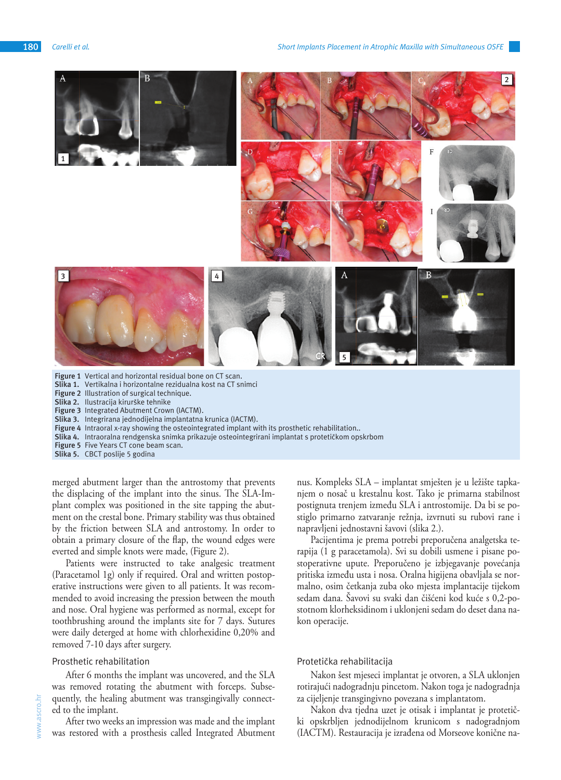

**Slika 3.** Integrirana jednodijelna implantatna krunica (IACTM).

Figure 4 Intraoral x-ray showing the osteointegrated implant with its prosthetic rehabilitation..

**Slika 4.** Intraoralna rendgenska snimka prikazuje osteointegrirani implantat s protetičkom opskrbom

**Figure 5** Five Years CT cone beam scan.

**Slika 5.** CBCT poslije 5 godina

merged abutment larger than the antrostomy that prevents the displacing of the implant into the sinus. The SLA-Implant complex was positioned in the site tapping the abutment on the crestal bone. Primary stability was thus obtained by the friction between SLA and antrostomy. In order to obtain a primary closure of the flap, the wound edges were everted and simple knots were made, (Figure 2).

Patients were instructed to take analgesic treatment (Paracetamol 1g) only if required. Oral and written postoperative instructions were given to all patients. It was recommended to avoid increasing the pression between the mouth and nose. Oral hygiene was performed as normal, except for toothbrushing around the implants site for 7 days. Sutures were daily deterged at home with chlorhexidine 0,20% and removed 7-10 days after surgery.

#### Prosthetic rehabilitation

After 6 months the implant was uncovered, and the SLA was removed rotating the abutment with forceps. Subsequently, the healing abutment was transgingivally connected to the implant.

After two weeks an impression was made and the implant was restored with a prosthesis called Integrated Abutment nus. Kompleks SLA – implantat smješten je u ležište tapkanjem o nosač u krestalnu kost. Tako je primarna stabilnost postignuta trenjem između SLA i antrostomije. Da bi se postiglo primarno zatvaranje režnja, izvrnuti su rubovi rane i napravljeni jednostavni šavovi (slika 2.).

Pacijentima je prema potrebi preporučena analgetska terapija (1 g paracetamola). Svi su dobili usmene i pisane postoperativne upute. Preporučeno je izbjegavanje povećanja pritiska između usta i nosa. Oralna higijena obavljala se normalno, osim četkanja zuba oko mjesta implantacije tijekom sedam dana. Šavovi su svaki dan čišćeni kod kuće s 0,2-postotnom klorheksidinom i uklonjeni sedam do deset dana nakon operacije.

## Protetička rehabilitacija

Nakon šest mjeseci implantat je otvoren, a SLA uklonjen rotirajući nadogradnju pincetom. Nakon toga je nadogradnja za cijeljenje transgingivno povezana s implantatom.

Nakon dva tjedna uzet je otisak i implantat je protetički opskrbljen jednodijelnom krunicom s nadogradnjom (IACTM). Restauracija je izrađena od Morseove konične na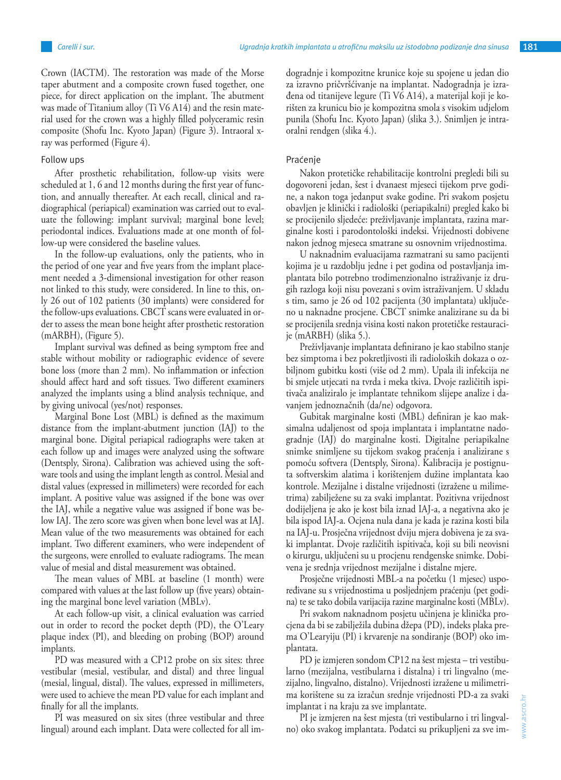Crown (IACTM). The restoration was made of the Morse taper abutment and a composite crown fused together, one piece, for direct application on the implant. The abutment was made of Titanium alloy (Ti V6 A14) and the resin material used for the crown was a highly filled polyceramic resin composite (Shofu Inc. Kyoto Japan) (Figure 3). Intraoral xray was performed (Figure 4).

## Follow ups

After prosthetic rehabilitation, follow-up visits were scheduled at 1, 6 and 12 months during the first year of function, and annually thereafter. At each recall, clinical and radiographical (periapical) examination was carried out to evaluate the following: implant survival; marginal bone level; periodontal indices. Evaluations made at one month of follow-up were considered the baseline values.

In the follow-up evaluations, only the patients, who in the period of one year and five years from the implant placement needed a 3-dimensional investigation for other reason not linked to this study, were considered. In line to this, only 26 out of 102 patients (30 implants) were considered for the follow-ups evaluations. CBCT scans were evaluated in order to assess the mean bone height after prosthetic restoration (mARBH), (Figure 5).

Implant survival was defined as being symptom free and stable without mobility or radiographic evidence of severe bone loss (more than 2 mm). No inflammation or infection should affect hard and soft tissues. Two different examiners analyzed the implants using a blind analysis technique, and by giving univocal (yes/not) responses.

Marginal Bone Lost (MBL) is defined as the maximum distance from the implant-abutment junction (IAJ) to the marginal bone. Digital periapical radiographs were taken at each follow up and images were analyzed using the software (Dentsply, Sirona). Calibration was achieved using the software tools and using the implant length as control. Mesial and distal values (expressed in millimeters) were recorded for each implant. A positive value was assigned if the bone was over the IAJ, while a negative value was assigned if bone was below IAJ. The zero score was given when bone level was at IAJ. Mean value of the two measurements was obtained for each implant. Two different examiners, who were independent of the surgeons, were enrolled to evaluate radiograms. The mean value of mesial and distal measurement was obtained.

The mean values of MBL at baseline (1 month) were compared with values at the last follow up (five years) obtaining the marginal bone level variation (MBLv).

At each follow-up visit, a clinical evaluation was carried out in order to record the pocket depth (PD), the O'Leary plaque index (PI), and bleeding on probing (BOP) around implants.

PD was measured with a CP12 probe on six sites: three vestibular (mesial, vestibular, and distal) and three lingual (mesial, lingual, distal). The values, expressed in millimeters, were used to achieve the mean PD value for each implant and finally for all the implants.

PI was measured on six sites (three vestibular and three lingual) around each implant. Data were collected for all imdogradnje i kompozitne krunice koje su spojene u jedan dio za izravno pričvršćivanje na implantat. Nadogradnja je izrađena od titanijeve legure (Ti V6 A14), a materijal koji je korišten za krunicu bio je kompozitna smola s visokim udjelom punila (Shofu Inc. Kyoto Japan) (slika 3.). Snimljen je intraoralni rendgen (slika 4.).

## Praćenje

Nakon protetičke rehabilitacije kontrolni pregledi bili su dogovoreni jedan, šest i dvanaest mjeseci tijekom prve godine, a nakon toga jedanput svake godine. Pri svakom posjetu obavljen je klinički i radiološki (periapikalni) pregled kako bi se procijenilo sljedeće: preživljavanje implantata, razina marginalne kosti i parodontološki indeksi. Vrijednosti dobivene nakon jednog mjeseca smatrane su osnovnim vrijednostima.

U naknadnim evaluacijama razmatrani su samo pacijenti kojima je u razdoblju jedne i pet godina od postavljanja implantata bilo potrebno trodimenzionalno istraživanje iz drugih razloga koji nisu povezani s ovim istraživanjem. U skladu s tim, samo je 26 od 102 pacijenta (30 implantata) uključeno u naknadne procjene. CBCT snimke analizirane su da bi se procijenila srednja visina kosti nakon protetičke restauracije (mARBH) (slika 5.).

Preživljavanje implantata definirano je kao stabilno stanje bez simptoma i bez pokretljivosti ili radioloških dokaza o ozbiljnom gubitku kosti (više od 2 mm). Upala ili infekcija ne bi smjele utjecati na tvrda i meka tkiva. Dvoje različitih ispitivača analiziralo je implantate tehnikom slijepe analize i davanjem jednoznačnih (da/ne) odgovora.

Gubitak marginalne kosti (MBL) definiran je kao maksimalna udaljenost od spoja implantata i implantatne nadogradnje (IAJ) do marginalne kosti. Digitalne periapikalne snimke snimljene su tijekom svakog praćenja i analizirane s pomoću softvera (Dentsply, Sirona). Kalibracija je postignuta softverskim alatima i korištenjem dužine implantata kao kontrole. Mezijalne i distalne vrijednosti (izražene u milimetrima) zabilježene su za svaki implantat. Pozitivna vrijednost dodijeljena je ako je kost bila iznad IAJ-a, a negativna ako je bila ispod IAJ-a. Ocjena nula dana je kada je razina kosti bila na IAJ-u. Prosječna vrijednost dviju mjera dobivena je za svaki implantat. Dvoje različitih ispitivača, koji su bili neovisni o kirurgu, uključeni su u procjenu rendgenske snimke. Dobivena je srednja vrijednost mezijalne i distalne mjere.

Prosječne vrijednosti MBL-a na početku (1 mjesec) uspoređivane su s vrijednostima u posljednjem praćenju (pet godina) te se tako dobila varijacija razine marginalne kosti (MBLv).

Pri svakom naknadnom posjetu učinjena je klinička procjena da bi se zabilježila dubina džepa (PD), indeks plaka prema O'Learyiju (PI) i krvarenje na sondiranje (BOP) oko implantata.

PD je izmjeren sondom CP12 na šest mjesta – tri vestibularno (mezijalna, vestibularna i distalna) i tri lingvalno (mezijalno, lingvalno, distalno). Vrijednosti izražene u milimetrima korištene su za izračun srednje vrijednosti PD-a za svaki implantat i na kraju za sve implantate.

PI je izmjeren na šest mjesta (tri vestibularno i tri lingvalno) oko svakog implantata. Podatci su prikupljeni za sve im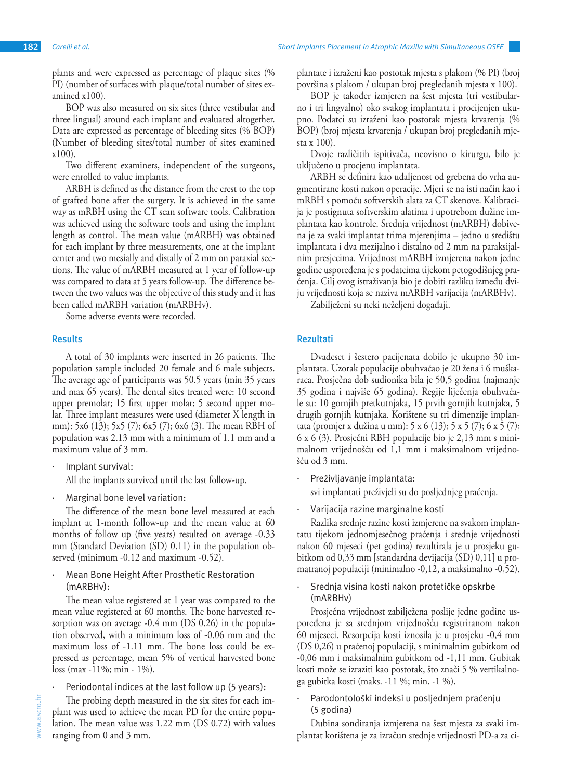plants and were expressed as percentage of plaque sites (% PI) (number of surfaces with plaque/total number of sites examined x100).

BOP was also measured on six sites (three vestibular and three lingual) around each implant and evaluated altogether. Data are expressed as percentage of bleeding sites (% BOP) (Number of bleeding sites/total number of sites examined x100).

Two different examiners, independent of the surgeons, were enrolled to value implants.

ARBH is defined as the distance from the crest to the top of grafted bone after the surgery. It is achieved in the same way as mRBH using the CT scan software tools. Calibration was achieved using the software tools and using the implant length as control. The mean value (mARBH) was obtained for each implant by three measurements, one at the implant center and two mesially and distally of 2 mm on paraxial sections. The value of mARBH measured at 1 year of follow-up was compared to data at 5 years follow-up. The difference between the two values was the objective of this study and it has been called mARBH variation (mARBHv).

Some adverse events were recorded.

# **Results**

A total of 30 implants were inserted in 26 patients. The population sample included 20 female and 6 male subjects. The average age of participants was 50.5 years (min 35 years and max 65 years). The dental sites treated were: 10 second upper premolar; 15 first upper molar; 5 second upper molar. Three implant measures were used (diameter X length in mm): 5x6 (13); 5x5 (7); 6x5 (7); 6x6 (3). The mean RBH of population was 2.13 mm with a minimum of 1.1 mm and a maximum value of 3 mm.

- Implant survival: All the implants survived until the last follow-up.
- Marginal bone level variation:

The difference of the mean bone level measured at each implant at 1-month follow-up and the mean value at 60 months of follow up (five years) resulted on average -0.33 mm (Standard Deviation (SD) 0.11) in the population observed (minimum -0.12 and maximum -0.52).

Mean Bone Height After Prosthetic Restoration (mARBHv):

The mean value registered at 1 year was compared to the mean value registered at 60 months. The bone harvested resorption was on average -0.4 mm (DS 0.26) in the population observed, with a minimum loss of -0.06 mm and the maximum loss of -1.11 mm. The bone loss could be expressed as percentage, mean 5% of vertical harvested bone loss (max -11%; min - 1%).

Periodontal indices at the last follow up (5 years):

The probing depth measured in the six sites for each implant was used to achieve the mean PD for the entire population. The mean value was 1.22 mm (DS 0.72) with values ranging from 0 and 3 mm.

plantate i izraženi kao postotak mjesta s plakom (% PI) (broj površina s plakom / ukupan broj pregledanih mjesta x 100).

BOP je također izmjeren na šest mjesta (tri vestibularno i tri lingvalno) oko svakog implantata i procijenjen ukupno. Podatci su izraženi kao postotak mjesta krvarenja (% BOP) (broj mjesta krvarenja / ukupan broj pregledanih mjesta x 100).

Dvoje različitih ispitivača, neovisno o kirurgu, bilo je uključeno u procjenu implantata.

ARBH se definira kao udaljenost od grebena do vrha augmentirane kosti nakon operacije. Mjeri se na isti način kao i mRBH s pomoću softverskih alata za CT skenove. Kalibracija je postignuta softverskim alatima i upotrebom dužine implantata kao kontrole. Srednja vrijednost (mARBH) dobivena je za svaki implantat trima mjerenjima – jedno u središtu implantata i dva mezijalno i distalno od 2 mm na paraksijalnim presjecima. Vrijednost mARBH izmjerena nakon jedne godine uspoređena je s podatcima tijekom petogodišnjeg praćenja. Cilj ovog istraživanja bio je dobiti razliku između dviju vrijednosti koja se naziva mARBH varijacija (mARBHv).

Zabilježeni su neki neželjeni događaji.

## **Rezultati**

Dvadeset i šestero pacijenata dobilo je ukupno 30 implantata. Uzorak populacije obuhvaćao je 20 žena i 6 muškaraca. Prosječna dob sudionika bila je 50,5 godina (najmanje 35 godina i najviše 65 godina). Regije liječenja obuhvaćale su: 10 gornjih pretkutnjaka, 15 prvih gornjih kutnjaka, 5 drugih gornjih kutnjaka. Korištene su tri dimenzije implantata (promjer x dužina u mm): 5 x 6 (13); 5 x 5 (7); 6 x 5 (7); 6 x 6 (3). Prosječni RBH populacije bio je 2,13 mm s minimalnom vrijednošću od 1,1 mm i maksimalnom vrijednošću od 3 mm.

- Preživljavanje implantata: svi implantati preživjeli su do posljednjeg praćenja.
- Varijacija razine marginalne kosti

Razlika srednje razine kosti izmjerene na svakom implantatu tijekom jednomjesečnog praćenja i srednje vrijednosti nakon 60 mjeseci (pet godina) rezultirala je u prosjeku gubitkom od 0,33 mm [standardna devijacija (SD) 0,11] u promatranoj populaciji (minimalno -0,12, a maksimalno -0,52).

Srednja visina kosti nakon protetičke opskrbe (mARBHv)

Prosječna vrijednost zabilježena poslije jedne godine uspoređena je sa srednjom vrijednošću registriranom nakon 60 mjeseci. Resorpcija kosti iznosila je u prosjeku -0,4 mm (DS 0,26) u praćenoj populaciji, s minimalnim gubitkom od -0,06 mm i maksimalnim gubitkom od -1,11 mm. Gubitak kosti može se izraziti kao postotak, što znači 5 % vertikalnoga gubitka kosti (maks. -11 %; min. -1 %).

Parodontološki indeksi u posljednjem praćenju (5 godina)

Dubina sondiranja izmjerena na šest mjesta za svaki implantat korištena je za izračun srednje vrijednosti PD-a za ci-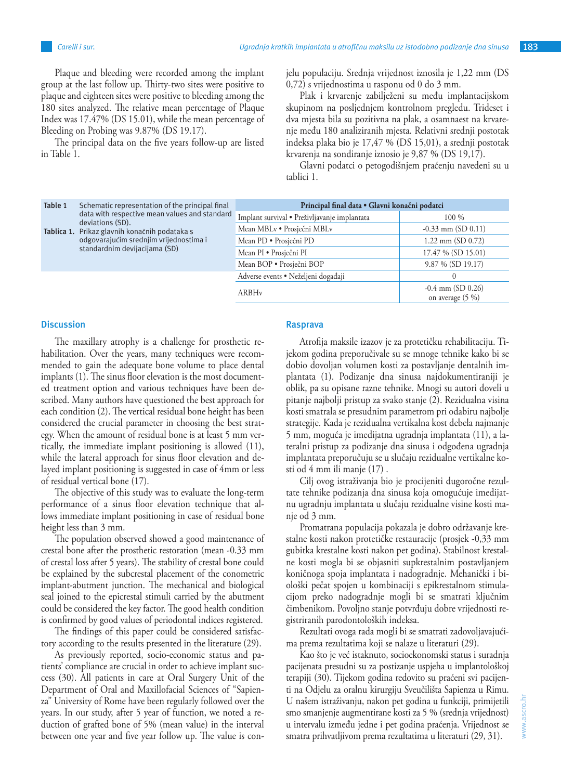Plaque and bleeding were recorded among the implant group at the last follow up. Thirty-two sites were positive to plaque and eighteen sites were positive to bleeding among the 180 sites analyzed. The relative mean percentage of Plaque Index was 17.47% (DS 15.01), while the mean percentage of Bleeding on Probing was 9.87% (DS 19.17).

The principal data on the five years follow-up are listed in Table 1.

jelu populaciju. Srednja vrijednost iznosila je 1,22 mm (DS 0,72) s vrijednostima u rasponu od 0 do 3 mm.

Plak i krvarenje zabilježeni su među implantacijskom skupinom na posljednjem kontrolnom pregledu. Trideset i dva mjesta bila su pozitivna na plak, a osamnaest na krvarenje među 180 analiziranih mjesta. Relativni srednji postotak indeksa plaka bio je 17,47 % (DS 15,01), a srednji postotak krvarenja na sondiranje iznosio je 9,87 % (DS 19,17).

Glavni podatci o petogodišnjem praćenju navedeni su u tablici 1.

| Table 1 | Schematic representation of the principal final<br>data with respective mean values and standard<br>deviations (SD).<br>Tablica 1. Prikaz glavnih konačnih podataka s<br>odgovarajućim srednjim vrijednostima i<br>standardnim devijacijama (SD) | Principal final data · Glavni konačni podatci |                                           |
|---------|--------------------------------------------------------------------------------------------------------------------------------------------------------------------------------------------------------------------------------------------------|-----------------------------------------------|-------------------------------------------|
|         |                                                                                                                                                                                                                                                  | Implant survival · Preživljavanje implantata  | $100\%$                                   |
|         |                                                                                                                                                                                                                                                  | Mean MBLv • Prosječni MBLv                    | $-0.33$ mm (SD 0.11)                      |
|         |                                                                                                                                                                                                                                                  | Mean PD • Prosječni PD                        | $1.22$ mm (SD 0.72)                       |
|         |                                                                                                                                                                                                                                                  | Mean PI · Prosječni PI                        | 17.47 % (SD 15.01)                        |
|         |                                                                                                                                                                                                                                                  | Mean BOP • Prosječni BOP                      | $9.87\%$ (SD 19.17)                       |
|         |                                                                                                                                                                                                                                                  | Adverse events · Neželjeni događaji           | 0                                         |
|         |                                                                                                                                                                                                                                                  | ARBHy                                         | $-0.4$ mm (SD 0.26)<br>on average $(5\%)$ |

## **Discussion**

The maxillary atrophy is a challenge for prosthetic rehabilitation. Over the years, many techniques were recommended to gain the adequate bone volume to place dental implants (1). The sinus floor elevation is the most documented treatment option and various techniques have been described. Many authors have questioned the best approach for each condition (2). The vertical residual bone height has been considered the crucial parameter in choosing the best strategy. When the amount of residual bone is at least 5 mm vertically, the immediate implant positioning is allowed (11), while the lateral approach for sinus floor elevation and delayed implant positioning is suggested in case of 4mm or less of residual vertical bone (17).

The objective of this study was to evaluate the long-term performance of a sinus floor elevation technique that allows immediate implant positioning in case of residual bone height less than 3 mm.

The population observed showed a good maintenance of crestal bone after the prosthetic restoration (mean -0.33 mm of crestal loss after 5 years). The stability of crestal bone could be explained by the subcrestal placement of the conometric implant-abutment junction. The mechanical and biological seal joined to the epicrestal stimuli carried by the abutment could be considered the key factor. The good health condition is confirmed by good values of periodontal indices registered.

The findings of this paper could be considered satisfactory according to the results presented in the literature (29).

As previously reported, socio-economic status and patients' compliance are crucial in order to achieve implant success (30). All patients in care at Oral Surgery Unit of the Department of Oral and Maxillofacial Sciences of "Sapienza" University of Rome have been regularly followed over the years. In our study, after 5 year of function, we noted a reduction of grafted bone of 5% (mean value) in the interval between one year and five year follow up. The value is con-

# **Rasprava**

Atrofija maksile izazov je za protetičku rehabilitaciju. Tijekom godina preporučivale su se mnoge tehnike kako bi se dobio dovoljan volumen kosti za postavljanje dentalnih implantata (1). Podizanje dna sinusa najdokumentiraniji je oblik, pa su opisane razne tehnike. Mnogi su autori doveli u pitanje najbolji pristup za svako stanje (2). Rezidualna visina kosti smatrala se presudnim parametrom pri odabiru najbolje strategije. Kada je rezidualna vertikalna kost debela najmanje 5 mm, moguća je imedijatna ugradnja implantata (11), a lateralni pristup za podizanje dna sinusa i odgođena ugradnja implantata preporučuju se u slučaju rezidualne vertikalne kosti od 4 mm ili manje (17) .

Cilj ovog istraživanja bio je procijeniti dugoročne rezultate tehnike podizanja dna sinusa koja omogućuje imedijatnu ugradnju implantata u slučaju rezidualne visine kosti manje od 3 mm.

Promatrana populacija pokazala je dobro održavanje krestalne kosti nakon protetičke restauracije (prosjek -0,33 mm gubitka krestalne kosti nakon pet godina). Stabilnost krestalne kosti mogla bi se objasniti supkrestalnim postavljanjem koničnoga spoja implantata i nadogradnje. Mehanički i biološki pečat spojen u kombinaciji s epikrestalnom stimulacijom preko nadogradnje mogli bi se smatrati ključnim čimbenikom. Povoljno stanje potvrđuju dobre vrijednosti registriranih parodontoloških indeksa.

Rezultati ovoga rada mogli bi se smatrati zadovoljavajućima prema rezultatima koji se nalaze u literaturi (29).

Kao što je već istaknuto, socioekonomski status i suradnja pacijenata presudni su za postizanje uspjeha u implantološkoj terapiji (30). Tijekom godina redovito su praćeni svi pacijenti na Odjelu za oralnu kirurgiju Sveučilišta Sapienza u Rimu. U našem istraživanju, nakon pet godina u funkciji, primijetili smo smanjenje augmentirane kosti za 5 % (srednja vrijednost) u intervalu između jedne i pet godina praćenja. Vrijednost se smatra prihvatljivom prema rezultatima u literaturi (29, 31).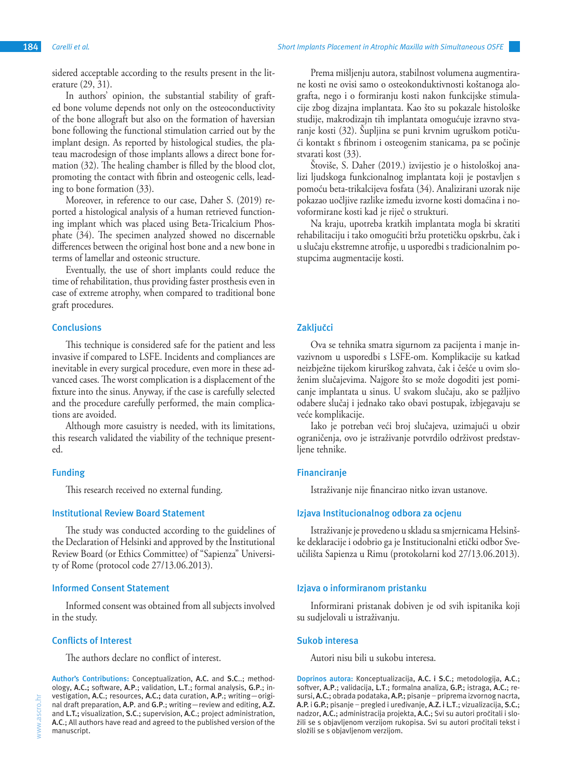sidered acceptable according to the results present in the literature (29, 31).

In authors' opinion, the substantial stability of grafted bone volume depends not only on the osteoconductivity of the bone allograft but also on the formation of haversian bone following the functional stimulation carried out by the implant design. As reported by histological studies, the plateau macrodesign of those implants allows a direct bone formation (32). The healing chamber is filled by the blood clot, promoting the contact with fibrin and osteogenic cells, leading to bone formation (33).

Moreover, in reference to our case, Daher S. (2019) reported a histological analysis of a human retrieved functioning implant which was placed using Beta-Tricalcium Phosphate (34). The specimen analyzed showed no discernable differences between the original host bone and a new bone in terms of lamellar and osteonic structure.

Eventually, the use of short implants could reduce the time of rehabilitation, thus providing faster prosthesis even in case of extreme atrophy, when compared to traditional bone graft procedures.

## **Conclusions**

This technique is considered safe for the patient and less invasive if compared to LSFE. Incidents and compliances are inevitable in every surgical procedure, even more in these advanced cases. The worst complication is a displacement of the fixture into the sinus. Anyway, if the case is carefully selected and the procedure carefully performed, the main complications are avoided.

Although more casuistry is needed, with its limitations, this research validated the viability of the technique presented.

## **Funding**

This research received no external funding.

# **Institutional Review Board Statement**

The study was conducted according to the guidelines of the Declaration of Helsinki and approved by the Institutional Review Board (or Ethics Committee) of "Sapienza" University of Rome (protocol code 27/13.06.2013).

## **Informed Consent Statement**

Informed consent was obtained from all subjects involved in the study.

## **Conflicts of Interest**

The authors declare no conflict of interest.

**Author's Contributions:** Conceptualization, **A.C.** and **S.C**..; methodology, **A.C.;** software, **A.P**.; validation, **L.T**.; formal analysis, **G.P**.; investigation, **A.C**.; resources, **A.C.;** data curation, **A.P**.; writing—original draft preparation, **A.P**. and **G.P**.; writing—review and editing, **A.Z.** and **L.T.;** visualization, **S.C**.; supervision, **A.C**.; project administration, **A.C**.; All authors have read and agreed to the published version of the manuscript.

Prema mišljenju autora, stabilnost volumena augmentirane kosti ne ovisi samo o osteokonduktivnosti koštanoga alografta, nego i o formiranju kosti nakon funkcijske stimulacije zbog dizajna implantata. Kao što su pokazale histološke studije, makrodizajn tih implantata omogućuje izravno stvaranje kosti (32). Šupljina se puni krvnim ugruškom potičući kontakt s fibrinom i osteogenim stanicama, pa se počinje stvarati kost (33).

Štoviše, S. Daher (2019.) izvijestio je o histološkoj analizi ljudskoga funkcionalnog implantata koji je postavljen s pomoću beta-trikalcijeva fosfata (34). Analizirani uzorak nije pokazao uočljive razlike između izvorne kosti domaćina i novoformirane kosti kad je riječ o strukturi.

Na kraju, upotreba kratkih implantata mogla bi skratiti rehabilitaciju i tako omogućiti bržu protetičku opskrbu, čak i u slučaju ekstremne atrofije, u usporedbi s tradicionalnim postupcima augmentacije kosti.

## **Zaključci**

Ova se tehnika smatra sigurnom za pacijenta i manje invazivnom u usporedbi s LSFE-om. Komplikacije su katkad neizbježne tijekom kirurškog zahvata, čak i češće u ovim složenim slučajevima. Najgore što se može dogoditi jest pomicanje implantata u sinus. U svakom slučaju, ako se pažljivo odabere slučaj i jednako tako obavi postupak, izbjegavaju se veće komplikacije.

Iako je potreban veći broj slučajeva, uzimajući u obzir ograničenja, ovo je istraživanje potvrdilo održivost predstavljene tehnike.

## **Financiranje**

Istraživanje nije financirao nitko izvan ustanove.

## **Izjava Institucionalnog odbora za ocjenu**

Istraživanje je provedeno u skladu sa smjernicama Helsinške deklaracije i odobrio ga je Institucionalni etički odbor Sveučilišta Sapienza u Rimu (protokolarni kod 27/13.06.2013).

## **Izjava o informiranom pristanku**

Informirani pristanak dobiven je od svih ispitanika koji su sudjelovali u istraživanju.

## **Sukob interesa**

Autori nisu bili u sukobu interesa.

**Doprinos autora:** Konceptualizacija, **A.C. i S.C**.; metodologija, **A.C**.; softver, **A.P**.; validacija, **L.T**.; formalna analiza, **G.P.**; istraga, **A.C.**; resursi, **A.C.**; obrada podataka, **A.P.**; pisanje – priprema izvornog nacrta, **A.P.** i **G.P.**; pisanje – pregled i uređivanje, **A.Z. i L.T**.; vizualizacija, **S.C.**; nadzor, **A.C.**; administracija projekta, **A.C.**; Svi su autori pročitali i složili se s objavljenom verzijom rukopisa. Svi su autori pročitali tekst i složili se s objavljenom verzijom.